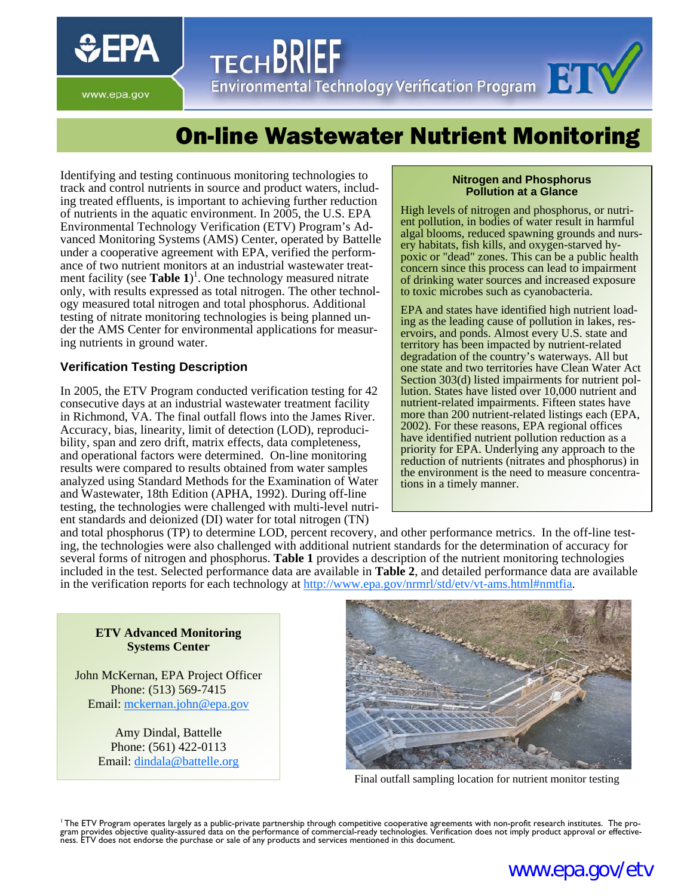

**TECHBR** I ECHDNILE<br>Environmental Technology Verification Program

www.epa.gov

# On-line Wastewater Nutrient Monitoring

Identifying and testing continuous monitoring technologies to track and control nutrients in source and product waters, including treated effluents, is important to achieving further reduction of nutrients in the aquatic environment. In 2005, the U.S. EPA Environmental Technology Verification (ETV) Program's Advanced Monitoring Systems (AMS) Center, operated by Battelle under a cooperative agreement with EPA, verified the performance of two nutrient monitors at an industrial wastewater treatment facility (see **Table 1**) 1 . One technology measured nitrate only, with results expressed as total nitrogen. The other technology measured total nitrogen and total phosphorus. Additional testing of nitrate monitoring technologies is being planned under the AMS Center for environmental applications for measuring nutrients in ground water.

### **Verification Testing Description**

In 2005, the ETV Program conducted verification testing for 42 consecutive days at an industrial wastewater treatment facility in Richmond, VA. The final outfall flows into the James River. Accuracy, bias, linearity, limit of detection (LOD), reproducibility, span and zero drift, matrix effects, data completeness, and operational factors were determined. On-line monitoring results were compared to results obtained from water samples analyzed using Standard Methods for the Examination of Water and Wastewater, 18th Edition (APHA, 1992). During off-line testing, the technologies were challenged with multi-level nutrient standards and deionized (DI) water for total nitrogen (TN)

#### **Nitrogen and Phosphorus Pollution at a Glance**

High levels of nitrogen and phosphorus, or nutrient pollution, in bodies of water result in harmful algal blooms, reduced spawning grounds and nursery habitats, fish kills, and oxygen-starved hypoxic or "dead" zones. This can be a public health concern since this process can lead to impairment of drinking water sources and increased exposure to toxic microbes such as cyanobacteria.

EPA and states have identified high nutrient loading as the leading cause of pollution in lakes, reservoirs, and ponds. Almost every U.S. state and territory has been impacted by nutrient-related degradation of the country's waterways. All but one state and two territories have Clean Water Act Section 303(d) listed impairments for nutrient pollution. States have listed over 10,000 nutrient and nutrient-related impairments. Fifteen states have more than 200 nutrient-related listings each (EPA, 2002). For these reasons, EPA regional offices have identified nutrient pollution reduction as a priority for EPA. Underlying any approach to the reduction of nutrients (nitrates and phosphorus) in the environment is the need to measure concentrations in a timely manner.

and total phosphorus (TP) to determine LOD, percent recovery, and other performance metrics. In the off-line testing, the technologies were also challenged with additional nutrient standards for the determination of accuracy for several forms of nitrogen and phosphorus. **Table 1** provides a description of the nutrient monitoring technologies included in the test. Selected performance data are available in **Table 2**, and detailed performance data are available in the verification reports for each technology at http://www.epa.gov/nrmrl/std/etv/vt-ams.html#nmtfia.

**ETV Advanced Monitoring Systems Center** 

John McKernan, EPA Project Officer Phone: (513) 569-7415 Email: mckernan.john@epa.gov

> Amy Dindal, Battelle Phone: (561) 422-0113 Email: dindala@battelle.org



Final outfall sampling location for nutrient monitor testing

<sup>'</sup> The ETV Program operates largely as a public-private partnership through competitive cooperative agreements with non-profit research institutes. The pro-<br>gram provides objective quality-assured data on the performance ness. ETV does not endorse the purchase or sale of any products and services mentioned in this document.

## www.epa.gov/etv